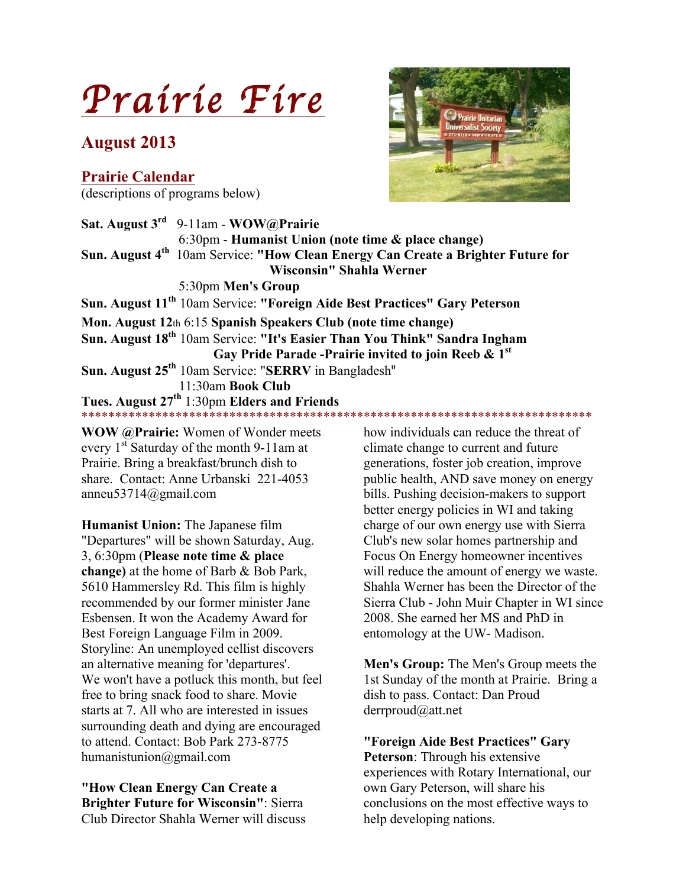# *Prairie Fire*

## **August 2013**

**Prairie Calendar** (descriptions of programs below)



**Sat. August 3rd** 9-11am - **WOW@Prairie**  6:30pm - **Humanist Union (note time & place change) Sun. August 4th** 10am Service: **"How Clean Energy Can Create a Brighter Future for Wisconsin" Shahla Werner** 5:30pm **Men's Group Sun. August 11th** 10am Service: **"Foreign Aide Best Practices" Gary Peterson Mon. August 12**th 6:15 **Spanish Speakers Club (note time change) Sun. August 18th** 10am Service: **"It's Easier Than You Think" Sandra Ingham Gay Pride Parade -Prairie invited to join Reeb & 1st Sun. August 25th** 10am Service: "**SERRV** in Bangladesh" 11:30am **Book Club Tues. August 27th** 1:30pm **Elders and Friends** \*\*\*\*\*\*\*\*\*\*\*\*\*\*\*\*\*\*\*\*\*\*\*\*\*\*\*\*\*\*\*\*\*\*\*\*\*\*\*\*\*\*\*\*\*\*\*\*\*\*\*\*\*\*\*\*\*\*\*\*\*\*\*\*\*\*\*\*\*\*\*\*\*\*\*\*

**WOW @Prairie:** Women of Wonder meets every  $1<sup>st</sup>$  Saturday of the month 9-11am at Prairie. Bring a breakfast/brunch dish to share. Contact: Anne Urbanski 221-4053 anneu53714@gmail.com

**Humanist Union:** The Japanese film "Departures" will be shown Saturday, Aug. 3, 6:30pm (**Please note time & place change)** at the home of Barb & Bob Park, 5610 Hammersley Rd. This film is highly recommended by our former minister Jane Esbensen. It won the Academy Award for Best Foreign Language Film in 2009. Storyline: An unemployed cellist discovers an alternative meaning for 'departures'. We won't have a potluck this month, but feel free to bring snack food to share. Movie starts at 7. All who are interested in issues surrounding death and dying are encouraged to attend. Contact: Bob Park 273-8775 humanistunion@gmail.com

**"How Clean Energy Can Create a Brighter Future for Wisconsin"**: Sierra Club Director Shahla Werner will discuss how individuals can reduce the threat of climate change to current and future generations, foster job creation, improve public health, AND save money on energy bills. Pushing decision-makers to support better energy policies in WI and taking charge of our own energy use with Sierra Club's new solar homes partnership and Focus On Energy homeowner incentives will reduce the amount of energy we waste. Shahla Werner has been the Director of the Sierra Club - John Muir Chapter in WI since 2008. She earned her MS and PhD in entomology at the UW- Madison.

**Men's Group:** The Men's Group meets the 1st Sunday of the month at Prairie. Bring a dish to pass. Contact: Dan Proud derrproud@att.net

**"Foreign Aide Best Practices" Gary Peterson**: Through his extensive experiences with Rotary International, our own Gary Peterson, will share his conclusions on the most effective ways to help developing nations.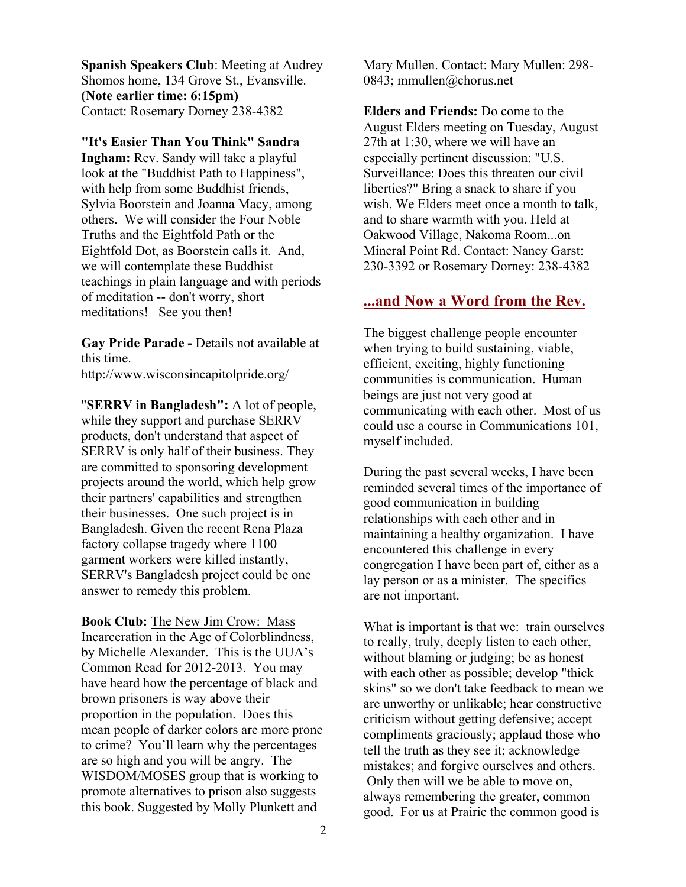**Spanish Speakers Club**: Meeting at Audrey Shomos home, 134 Grove St., Evansville. **(Note earlier time: 6:15pm)** Contact: Rosemary Dorney 238-4382

**"It's Easier Than You Think" Sandra Ingham:** Rev. Sandy will take a playful look at the "Buddhist Path to Happiness", with help from some Buddhist friends, Sylvia Boorstein and Joanna Macy, among others. We will consider the Four Noble Truths and the Eightfold Path or the Eightfold Dot, as Boorstein calls it. And, we will contemplate these Buddhist teachings in plain language and with periods of meditation -- don't worry, short meditations! See you then!

**Gay Pride Parade -** Details not available at this time.

http://www.wisconsincapitolpride.org/

"**SERRV in Bangladesh":** A lot of people, while they support and purchase SERRV products, don't understand that aspect of SERRV is only half of their business. They are committed to sponsoring development projects around the world, which help grow their partners' capabilities and strengthen their businesses. One such project is in Bangladesh. Given the recent Rena Plaza factory collapse tragedy where 1100 garment workers were killed instantly, SERRV's Bangladesh project could be one answer to remedy this problem.

**Book Club:** The New Jim Crow: Mass Incarceration in the Age of Colorblindness, by Michelle Alexander. This is the UUA's Common Read for 2012-2013. You may have heard how the percentage of black and brown prisoners is way above their proportion in the population. Does this mean people of darker colors are more prone to crime? You'll learn why the percentages are so high and you will be angry. The WISDOM/MOSES group that is working to promote alternatives to prison also suggests this book. Suggested by Molly Plunkett and

Mary Mullen. Contact: Mary Mullen: 298- 0843; mmullen@chorus.net

**Elders and Friends:** Do come to the August Elders meeting on Tuesday, August 27th at 1:30, where we will have an especially pertinent discussion: "U.S. Surveillance: Does this threaten our civil liberties?" Bring a snack to share if you wish. We Elders meet once a month to talk, and to share warmth with you. Held at Oakwood Village, Nakoma Room...on Mineral Point Rd. Contact: Nancy Garst: 230-3392 or Rosemary Dorney: 238-4382

## **...and Now a Word from the Rev.**

The biggest challenge people encounter when trying to build sustaining, viable, efficient, exciting, highly functioning communities is communication. Human beings are just not very good at communicating with each other. Most of us could use a course in Communications 101, myself included.

During the past several weeks, I have been reminded several times of the importance of good communication in building relationships with each other and in maintaining a healthy organization. I have encountered this challenge in every congregation I have been part of, either as a lay person or as a minister. The specifics are not important.

What is important is that we: train ourselves to really, truly, deeply listen to each other, without blaming or judging; be as honest with each other as possible; develop "thick skins" so we don't take feedback to mean we are unworthy or unlikable; hear constructive criticism without getting defensive; accept compliments graciously; applaud those who tell the truth as they see it; acknowledge mistakes; and forgive ourselves and others. Only then will we be able to move on, always remembering the greater, common good. For us at Prairie the common good is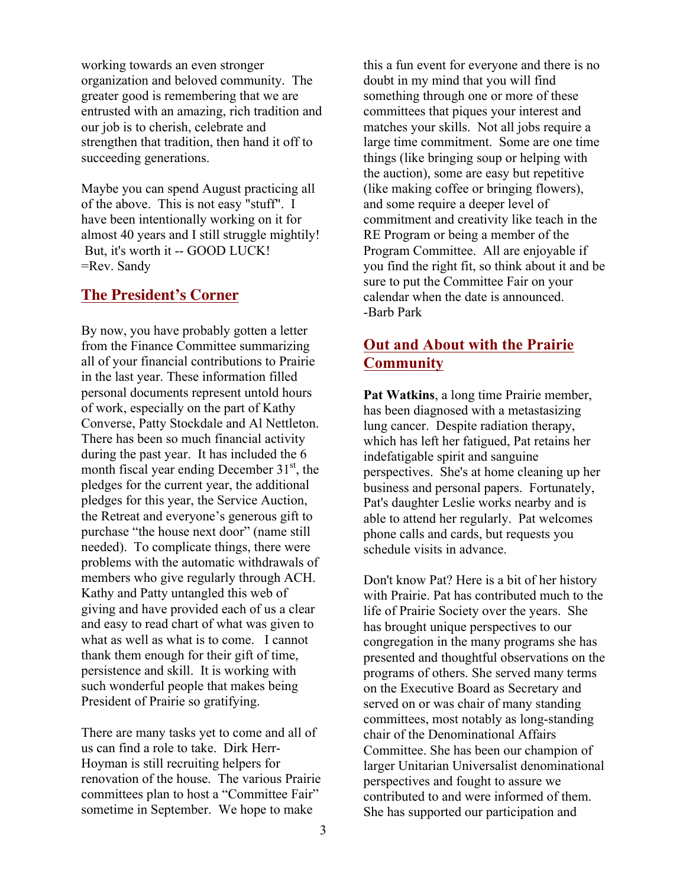working towards an even stronger organization and beloved community. The greater good is remembering that we are entrusted with an amazing, rich tradition and our job is to cherish, celebrate and strengthen that tradition, then hand it off to succeeding generations.

Maybe you can spend August practicing all of the above. This is not easy "stuff". I have been intentionally working on it for almost 40 years and I still struggle mightily! But, it's worth it -- GOOD LUCK! =Rev. Sandy

#### **The President's Corner**

By now, you have probably gotten a letter from the Finance Committee summarizing all of your financial contributions to Prairie in the last year. These information filled personal documents represent untold hours of work, especially on the part of Kathy Converse, Patty Stockdale and Al Nettleton. There has been so much financial activity during the past year. It has included the 6 month fiscal year ending December  $31<sup>st</sup>$ , the pledges for the current year, the additional pledges for this year, the Service Auction, the Retreat and everyone's generous gift to purchase "the house next door" (name still needed). To complicate things, there were problems with the automatic withdrawals of members who give regularly through ACH. Kathy and Patty untangled this web of giving and have provided each of us a clear and easy to read chart of what was given to what as well as what is to come. I cannot thank them enough for their gift of time, persistence and skill. It is working with such wonderful people that makes being President of Prairie so gratifying.

There are many tasks yet to come and all of us can find a role to take. Dirk Herr-Hoyman is still recruiting helpers for renovation of the house. The various Prairie committees plan to host a "Committee Fair" sometime in September. We hope to make

this a fun event for everyone and there is no doubt in my mind that you will find something through one or more of these committees that piques your interest and matches your skills. Not all jobs require a large time commitment. Some are one time things (like bringing soup or helping with the auction), some are easy but repetitive (like making coffee or bringing flowers), and some require a deeper level of commitment and creativity like teach in the RE Program or being a member of the Program Committee. All are enjoyable if you find the right fit, so think about it and be sure to put the Committee Fair on your calendar when the date is announced. -Barb Park

## **Out and About with the Prairie Community**

**Pat Watkins**, a long time Prairie member, has been diagnosed with a metastasizing lung cancer. Despite radiation therapy, which has left her fatigued, Pat retains her indefatigable spirit and sanguine perspectives. She's at home cleaning up her business and personal papers. Fortunately, Pat's daughter Leslie works nearby and is able to attend her regularly. Pat welcomes phone calls and cards, but requests you schedule visits in advance.

Don't know Pat? Here is a bit of her history with Prairie. Pat has contributed much to the life of Prairie Society over the years. She has brought unique perspectives to our congregation in the many programs she has presented and thoughtful observations on the programs of others. She served many terms on the Executive Board as Secretary and served on or was chair of many standing committees, most notably as long-standing chair of the Denominational Affairs Committee. She has been our champion of larger Unitarian Universalist denominational perspectives and fought to assure we contributed to and were informed of them. She has supported our participation and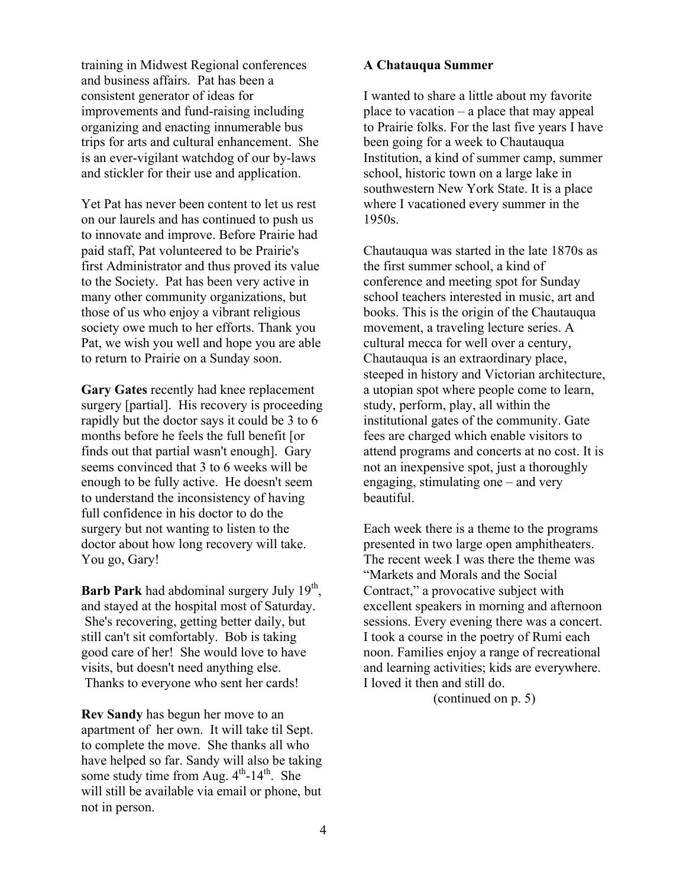training in Midwest Regional conferences and business affairs. Pat has been a consistent generator of ideas for improvements and fund-raising including organizing and enacting innumerable bus trips for arts and cultural enhancement. She is an ever-vigilant watchdog of our by-laws and stickler for their use and application.

Yet Pat has never been content to let us rest on our laurels and has continued to push us to innovate and improve. Before Prairie had paid staff, Pat volunteered to be Prairie's first Administrator and thus proved its value to the Society. Pat has been very active in many other community organizations, but those of us who enjoy a vibrant religious society owe much to her efforts. Thank you Pat, we wish you well and hope you are able to return to Prairie on a Sunday soon.

**Gary Gates** recently had knee replacement surgery [partial]. His recovery is proceeding rapidly but the doctor says it could be 3 to 6 months before he feels the full benefit [or finds out that partial wasn't enough]. Gary seems convinced that 3 to 6 weeks will be enough to be fully active. He doesn't seem to understand the inconsistency of having full confidence in his doctor to do the surgery but not wanting to listen to the doctor about how long recovery will take. You go, Gary!

**Barb Park** had abdominal surgery July 19<sup>th</sup>, and stayed at the hospital most of Saturday. She's recovering, getting better daily, but still can't sit comfortably. Bob is taking good care of her! She would love to have visits, but doesn't need anything else. Thanks to everyone who sent her cards!

**Rev Sandy** has begun her move to an apartment of her own. It will take til Sept. to complete the move. She thanks all who have helped so far. Sandy will also be taking some study time from Aug. 4<sup>th</sup>-14<sup>th</sup>. She will still be available via email or phone, but not in person.

#### **A Chatauqua Summer**

I wanted to share a little about my favorite place to vacation – a place that may appeal to Prairie folks. For the last five years I have been going for a week to Chautauqua Institution, a kind of summer camp, summer school, historic town on a large lake in southwestern New York State. It is a place where I vacationed every summer in the 1950s.

Chautauqua was started in the late 1870s as the first summer school, a kind of conference and meeting spot for Sunday school teachers interested in music, art and books. This is the origin of the Chautauqua movement, a traveling lecture series. A cultural mecca for well over a century, Chautauqua is an extraordinary place, steeped in history and Victorian architecture, a utopian spot where people come to learn, study, perform, play, all within the institutional gates of the community. Gate fees are charged which enable visitors to attend programs and concerts at no cost. It is not an inexpensive spot, just a thoroughly engaging, stimulating one – and very beautiful.

Each week there is a theme to the programs presented in two large open amphitheaters. The recent week I was there the theme was "Markets and Morals and the Social Contract," a provocative subject with excellent speakers in morning and afternoon sessions. Every evening there was a concert. I took a course in the poetry of Rumi each noon. Families enjoy a range of recreational and learning activities; kids are everywhere. I loved it then and still do.

(continued on p. 5)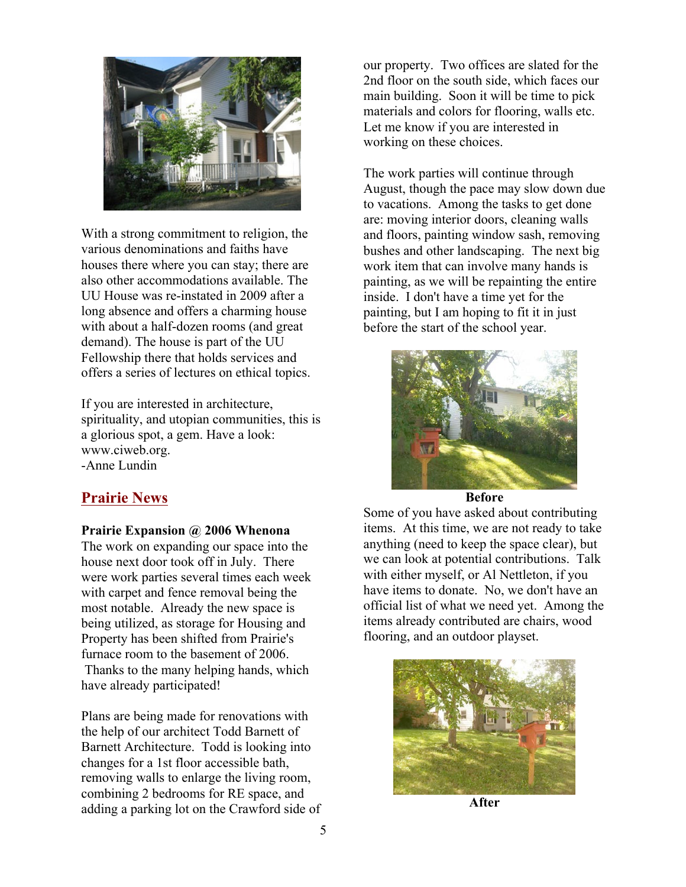

With a strong commitment to religion, the various denominations and faiths have houses there where you can stay; there are also other accommodations available. The UU House was re-instated in 2009 after a long absence and offers a charming house with about a half-dozen rooms (and great demand). The house is part of the UU Fellowship there that holds services and offers a series of lectures on ethical topics.

If you are interested in architecture, spirituality, and utopian communities, this is a glorious spot, a gem. Have a look: www.ciweb.org. -Anne Lundin

### **Prairie News**

#### **Prairie Expansion @ 2006 Whenona**

The work on expanding our space into the house next door took off in July. There were work parties several times each week with carpet and fence removal being the most notable. Already the new space is being utilized, as storage for Housing and Property has been shifted from Prairie's furnace room to the basement of 2006. Thanks to the many helping hands, which have already participated!

Plans are being made for renovations with the help of our architect Todd Barnett of Barnett Architecture. Todd is looking into changes for a 1st floor accessible bath, removing walls to enlarge the living room, combining 2 bedrooms for RE space, and adding a parking lot on the Crawford side of our property. Two offices are slated for the 2nd floor on the south side, which faces our main building. Soon it will be time to pick materials and colors for flooring, walls etc. Let me know if you are interested in working on these choices.

The work parties will continue through August, though the pace may slow down due to vacations. Among the tasks to get done are: moving interior doors, cleaning walls and floors, painting window sash, removing bushes and other landscaping. The next big work item that can involve many hands is painting, as we will be repainting the entire inside. I don't have a time yet for the painting, but I am hoping to fit it in just before the start of the school year.



**Before**

Some of you have asked about contributing items. At this time, we are not ready to take anything (need to keep the space clear), but we can look at potential contributions. Talk with either myself, or Al Nettleton, if you have items to donate. No, we don't have an official list of what we need yet. Among the items already contributed are chairs, wood flooring, and an outdoor playset.



**After**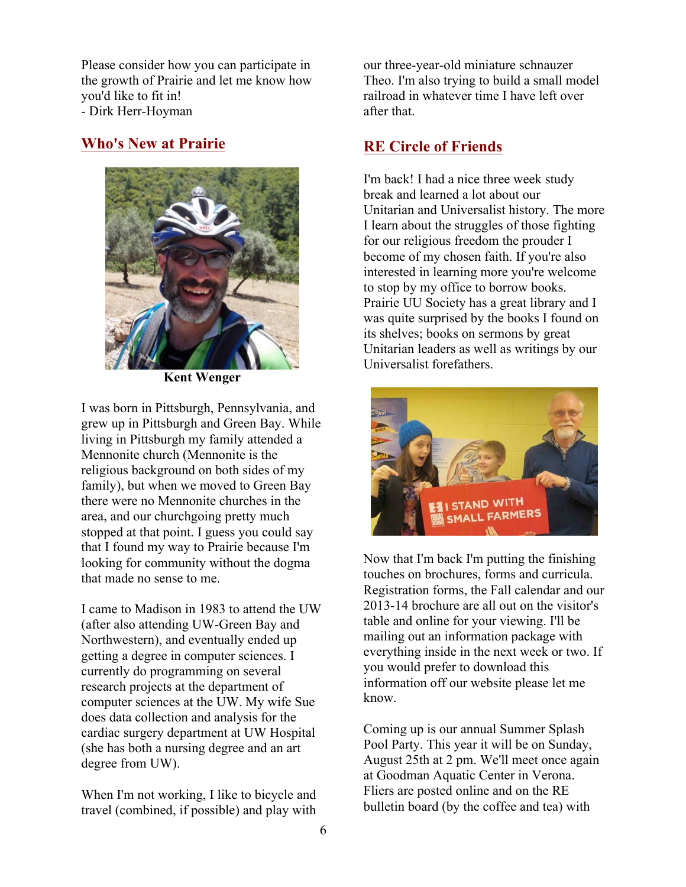Please consider how you can participate in the growth of Prairie and let me know how you'd like to fit in! - Dirk Herr-Hoyman

## **Who's New at Prairie**



**Kent Wenger** 

I was born in Pittsburgh, Pennsylvania, and grew up in Pittsburgh and Green Bay. While living in Pittsburgh my family attended a Mennonite church (Mennonite is the religious background on both sides of my family), but when we moved to Green Bay there were no Mennonite churches in the area, and our churchgoing pretty much stopped at that point. I guess you could say that I found my way to Prairie because I'm looking for community without the dogma that made no sense to me.

I came to Madison in 1983 to attend the UW (after also attending UW-Green Bay and Northwestern), and eventually ended up getting a degree in computer sciences. I currently do programming on several research projects at the department of computer sciences at the UW. My wife Sue does data collection and analysis for the cardiac surgery department at UW Hospital (she has both a nursing degree and an art degree from UW).

When I'm not working, I like to bicycle and travel (combined, if possible) and play with our three-year-old miniature schnauzer Theo. I'm also trying to build a small model railroad in whatever time I have left over after that.

## **RE Circle of Friends**

I'm back! I had a nice three week study break and learned a lot about our Unitarian and Universalist history. The more I learn about the struggles of those fighting for our religious freedom the prouder I become of my chosen faith. If you're also interested in learning more you're welcome to stop by my office to borrow books. Prairie UU Society has a great library and I was quite surprised by the books I found on its shelves; books on sermons by great Unitarian leaders as well as writings by our Universalist forefathers.



Now that I'm back I'm putting the finishing touches on brochures, forms and curricula. Registration forms, the Fall calendar and our 2013-14 brochure are all out on the visitor's table and online for your viewing. I'll be mailing out an information package with everything inside in the next week or two. If you would prefer to download this information off our website please let me know.

Coming up is our annual Summer Splash Pool Party. This year it will be on Sunday, August 25th at 2 pm. We'll meet once again at Goodman Aquatic Center in Verona. Fliers are posted online and on the RE bulletin board (by the coffee and tea) with